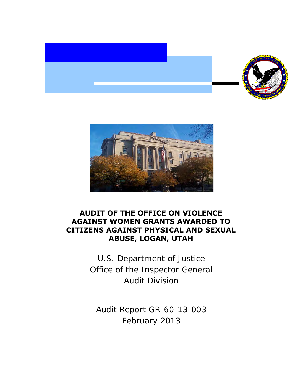



## **ABUSE, LOGAN, UTAH AUDIT OF THE OFFICE ON VIOLENCE AGAINST WOMEN GRANTS AWARDED TO CITIZENS AGAINST PHYSICAL AND SEXUAL**

 Office of the Inspector General U.S. Department of Justice Audit Division

 Audit Report GR-60-13-003 February 2013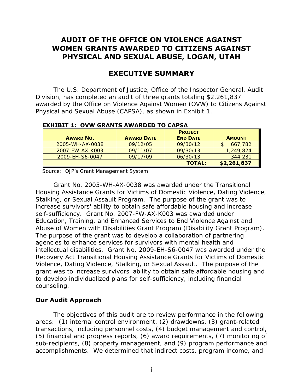## **AUDIT OF THE OFFICE ON VIOLENCE AGAINST WOMEN GRANTS AWARDED TO CITIZENS AGAINST PHYSICAL AND SEXUAL ABUSE, LOGAN, UTAH**

## **EXECUTIVE SUMMARY**

 awarded by the Office on Violence Against Women (OVW) to Citizens Against Physical and Sexual Abuse (CAPSA), as shown in Exhibit 1. The U.S. Department of Justice, Office of the Inspector General, Audit Division, has completed an audit of three grants totaling \$2,261,837

| <b>AWARD NO.</b> | <b>AWARD DATE</b> | <b>PROJECT</b><br><b>END DATE</b> | <b>AMOUNT</b> |
|------------------|-------------------|-----------------------------------|---------------|
| 2005-WH-AX-0038  | 09/12/05          | 09/30/12                          | 667,782       |
| 2007-FW-AX-K003  | 09/11/07          | 09/30/13                          | 1,249,824     |
| 2009-EH-S6-0047  | 09/17/09          | 06/30/13                          | 344,231       |
|                  |                   | <b>TOTAL:</b>                     | \$2,261,837   |

**EXHIBIT 1: OVW GRANTS AWARDED TO CAPSA** 

Source: OJP's Grant Management System

Grant No. 2005-WH-AX-0038 was awarded under the Transitional Housing Assistance Grants for Victims of Domestic Violence, Dating Violence, Stalking, or Sexual Assault Program. The purpose of the grant was to increase survivors' ability to obtain safe affordable housing and increase self-sufficiency. Grant No. 2007-FW-AX-K003 was awarded under Education, Training, and Enhanced Services to End Violence Against and Abuse of Women with Disabilities Grant Program (Disability Grant Program). The purpose of the grant was to develop a collaboration of partnering agencies to enhance services for survivors with mental health and intellectual disabilities. Grant No. 2009-EH-S6-0047 was awarded under the Recovery Act Transitional Housing Assistance Grants for Victims of Domestic Violence, Dating Violence, Stalking, or Sexual Assault. The purpose of the grant was to increase survivors' ability to obtain safe affordable housing and to develop individualized plans for self-sufficiency, including financial counseling.

### **Our Audit Approach**

 (5) financial and progress reports, (6) award requirements, (7) monitoring of The objectives of this audit are to review performance in the following areas: (1) internal control environment, (2) drawdowns, (3) grant-related transactions, including personnel costs, (4) budget management and control, sub-recipients, (8) property management, and (9) program performance and accomplishments. We determined that indirect costs, program income, and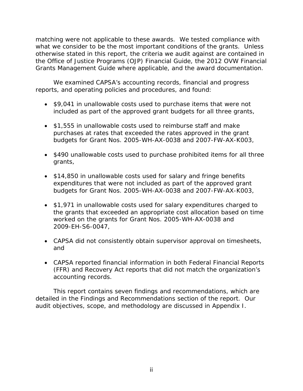what we consider to be the most important conditions of the grants. Unless matching were not applicable to these awards. We tested compliance with otherwise stated in this report, the criteria we audit against are contained in the *Office of Justice Programs (OJP) Financial Guide*, the *2012 OVW Financial Grants Management Guide* where applicable, and the award documentation.

We examined CAPSA's accounting records, financial and progress reports, and operating policies and procedures, and found:

- included as part of the approved grant budgets for all three grants, • \$9,041 in unallowable costs used to purchase items that were not
- \$1,555 in unallowable costs used to reimburse staff and make purchases at rates that exceeded the rates approved in the grant budgets for Grant Nos. 2005-WH-AX-0038 and 2007-FW-AX-K003,
- \$490 unallowable costs used to purchase prohibited items for all three grants,
- \$14,850 in unallowable costs used for salary and fringe benefits expenditures that were not included as part of the approved grant budgets for Grant Nos. 2005-WH-AX-0038 and 2007-FW-AX-K003,
- \$1,971 in unallowable costs used for salary expenditures charged to the grants that exceeded an appropriate cost allocation based on time worked on the grants for Grant Nos. 2005-WH-AX-0038 and 2009-EH-S6-0047,
- CAPSA did not consistently obtain supervisor approval on timesheets, and
- CAPSA reported financial information in both Federal Financial Reports accounting records. (FFR) and Recovery Act reports that did not match the organization's

 detailed in the Findings and Recommendations section of the report. Our This report contains seven findings and recommendations, which are audit objectives, scope, and methodology are discussed in Appendix I.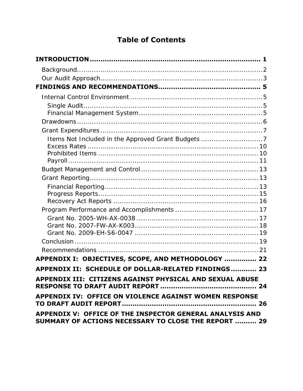# **Table of Contents**

| Items Not Included in the Approved Grant Budgets 7                                                               |  |
|------------------------------------------------------------------------------------------------------------------|--|
|                                                                                                                  |  |
|                                                                                                                  |  |
|                                                                                                                  |  |
|                                                                                                                  |  |
|                                                                                                                  |  |
|                                                                                                                  |  |
|                                                                                                                  |  |
|                                                                                                                  |  |
|                                                                                                                  |  |
|                                                                                                                  |  |
|                                                                                                                  |  |
|                                                                                                                  |  |
|                                                                                                                  |  |
| APPENDIX I: OBJECTIVES, SCOPE, AND METHODOLOGY  22                                                               |  |
| APPENDIX II: SCHEDULE OF DOLLAR-RELATED FINDINGS 23                                                              |  |
| APPENDIX III: CITIZENS AGAINST PHYSICAL AND SEXUAL ABUSE                                                         |  |
| APPENDIX IV: OFFICE ON VIOLENCE AGAINST WOMEN RESPONSE                                                           |  |
| APPENDIX V: OFFICE OF THE INSPECTOR GENERAL ANALYSIS AND<br>SUMMARY OF ACTIONS NECESSARY TO CLOSE THE REPORT  29 |  |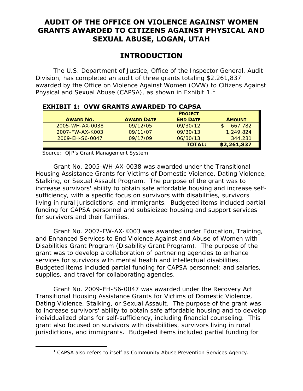## **GRANTS AWARDED TO CITIZENS AGAINST PHYSICAL AND AUDIT OF THE OFFICE ON VIOLENCE AGAINST WOMEN SEXUAL ABUSE, LOGAN, UTAH**

## **INTRODUCTION**

<span id="page-4-0"></span> awarded by the Office on Violence Against Women (OVW) to Citizens Against Physical and Sexual Abuse (CAPSA), as shown in Exhibit 1.<sup>1</sup> The U.S. Department of Justice, Office of the Inspector General, Audit Division, has completed an audit of three grants totaling \$2,261,837

| <b>AWARD NO.</b> | <b>AWARD DATE</b> | <b>PROJECT</b><br><b>END DATE</b> | <b>AMOUNT</b> |
|------------------|-------------------|-----------------------------------|---------------|
| 2005-WH-AX-0038  | 09/12/05          | 09/30/12                          | 667,782       |
| 2007-FW-AX-K003  | 09/11/07          | 09/30/13                          | 1,249,824     |
| 2009-EH-S6-0047  | 09/17/09          | 06/30/13                          | 344,231       |
|                  |                   | <b>TOTAL:</b>                     | \$2,261,837   |

### **EXHIBIT 1: OVW GRANTS AWARDED TO CAPSA**

Source: OJP's Grant Management System

<span id="page-4-1"></span>-

 Stalking, or Sexual Assault Program. The purpose of the grant was to increase survivors' ability to obtain safe affordable housing and increase self-Grant No. 2005-WH-AX-0038 was awarded under the Transitional Housing Assistance Grants for Victims of Domestic Violence, Dating Violence, sufficiency, with a specific focus on survivors with disabilities, survivors living in rural jurisdictions, and immigrants. Budgeted items included partial funding for CAPSA personnel and subsidized housing and support services for survivors and their families.

services for survivors with mental health and intellectual disabilities. Grant No. 2007-FW-AX-K003 was awarded under Education, Training, and Enhanced Services to End Violence Against and Abuse of Women with Disabilities Grant Program (Disability Grant Program). The purpose of the grant was to develop a collaboration of partnering agencies to enhance Budgeted items included partial funding for CAPSA personnel; and salaries, supplies, and travel for collaborating agencies.

 Dating Violence, Stalking, or Sexual Assault. The purpose of the grant was individualized plans for self-sufficiency, including financial counseling. This grant also focused on survivors with disabilities, survivors living in rural jurisdictions, and immigrants. Budgeted items included partial funding for Grant No. 2009-EH-S6-0047 was awarded under the Recovery Act Transitional Housing Assistance Grants for Victims of Domestic Violence, to increase survivors' ability to obtain safe affordable housing and to develop

 $1$  CAPSA also refers to itself as Community Abuse Prevention Services Agency.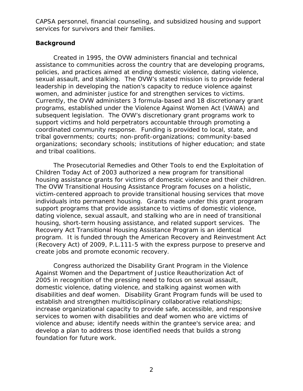services for survivors and their families. CAPSA personnel, financial counseling, and subsidized housing and support

### <span id="page-5-0"></span>**Background**

 sexual assault, and stalking. The OVW's stated mission is to provide federal women, and administer justice for and strengthen services to victims. coordinated community response. Funding is provided to local, state, and Created in 1995, the OVW administers financial and technical assistance to communities across the country that are developing programs, policies, and practices aimed at ending domestic violence, dating violence, leadership in developing the nation's capacity to reduce violence against Currently, the OVW administers 3 formula-based and 18 discretionary grant programs, established under the Violence Against Women Act (VAWA) and subsequent legislation. The OVW's discretionary grant programs work to support victims and hold perpetrators accountable through promoting a tribal governments; courts; non-profit-organizations; community-based organizations; secondary schools; institutions of higher education; and state and tribal coalitions.

housing assistance grants for victims of domestic violence and their children. housing, short-term housing assistance, and related support services. The program. It is funded through the American Recovery and Reinvestment Act The Prosecutorial Remedies and Other Tools to end the Exploitation of Children Today Act of 2003 authorized a new program for transitional The OVW Transitional Housing Assistance Program focuses on a holistic, victim-centered approach to provide transitional housing services that move individuals into permanent housing. Grants made under this grant program support programs that provide assistance to victims of domestic violence, dating violence, sexual assault, and stalking who are in need of transitional Recovery Act Transitional Housing Assistance Program is an identical (Recovery Act) of 2009, P.L.111-5 with the express purpose to preserve and create jobs and promote economic recovery.

foundation for future work. Congress authorized the Disability Grant Program in the Violence Against Women and the Department of Justice Reauthorization Act of 2005 in recognition of the pressing need to focus on sexual assault, domestic violence, dating violence, and stalking against women with disabilities and deaf women. Disability Grant Program funds will be used to establish and strengthen multidisciplinary collaborative relationships; increase organizational capacity to provide safe, accessible, and responsive services to women with disabilities and deaf women who are victims of violence and abuse; identify needs within the grantee's service area; and develop a plan to address those identified needs that builds a strong foundation for future work.<br>2<br>2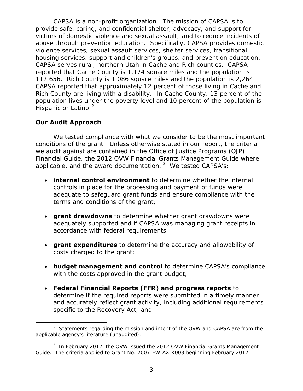CAPSA is a non-profit organization. The mission of CAPSA is to abuse through prevention education. Specifically, CAPSA provides domestic housing services, support and children's groups, and prevention education. housing services, support and children's groups, and prevention education.<br>CAPSA serves rural, northern Utah in Cache and Rich counties. CAPSA Rich County are living with a disability. In Cache County, 13 percent of the provide safe, caring, and confidential shelter, advocacy, and support for victims of domestic violence and sexual assault; and to reduce incidents of violence services, sexual assault services, shelter services, transitional reported that Cache County is 1,174 square miles and the population is 112,656. Rich County is 1,086 square miles and the population is 2,264. CAPSA reported that approximately 12 percent of those living in Cache and population lives under the poverty level and 10 percent of the population is Hispanic or Latino.<sup>[2](#page-6-1)</sup>

### <span id="page-6-0"></span>**Our Audit Approach**

 conditions of the grant. Unless otherwise stated in our report, the criteria applicable, and the award documentation. *[3](#page-6-2)* We tested CAPSA's: We tested compliance with what we consider to be the most important we audit against are contained in the *Office of Justice Programs (OJP) Financial Guide*, the *2012 OVW Financial Grants Management Guide* where

- terms and conditions of the grant; **• internal control environment** to determine whether the internal controls in place for the processing and payment of funds were adequate to safeguard grant funds and ensure compliance with the
- **grant drawdowns** to determine whether grant drawdowns were adequately supported and if CAPSA was managing grant receipts in accordance with federal requirements;
- costs charged to the grant; **• grant expenditures** to determine the accuracy and allowability of
- with the costs approved in the grant budget; **• budget management and control** to determine CAPSA's compliance
- specific to the Recovery Act; and • **Federal Financial Reports (FFR) and progress reports** to determine if the required reports were submitted in a timely manner and accurately reflect grant activity, including additional requirements

<span id="page-6-1"></span>l  $2$  Statements regarding the mission and intent of the OVW and CAPSA are from the applicable agency's literature (unaudited).

<span id="page-6-2"></span> 3 In February 2012, the OVW issued the *2012 OVW Financial Grants Management Guide*. The criteria applied to Grant No. 2007-FW-AX-K003 beginning February 2012.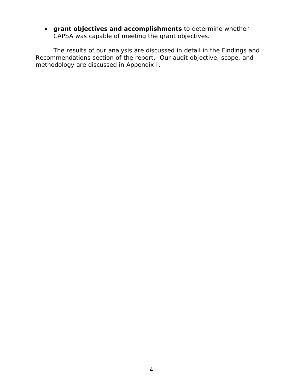CAPSA was capable of meeting the grant objectives. • **grant objectives and accomplishments** to determine whether

methodology are discussed in Appendix I. The results of our analysis are discussed in detail in the Findings and Recommendations section of the report. Our audit objective, scope, and methodology are discussed in Appendix I. 4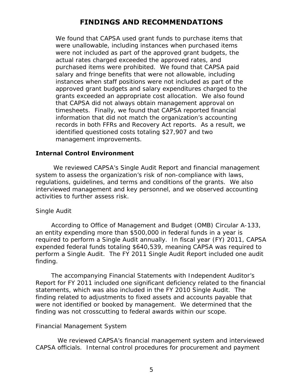## **FINDINGS AND RECOMMENDATIONS**

<span id="page-8-0"></span> purchased items were prohibited. We found that CAPSA paid instances when staff positions were not included as part of the records in both FFRs and Recovery Act reports. As a result, we identified questioned costs totaling \$27,907 and two We found that CAPSA used grant funds to purchase items that were unallowable, including instances when purchased items were not included as part of the approved grant budgets, the actual rates charged exceeded the approved rates, and salary and fringe benefits that were not allowable, including approved grant budgets and salary expenditures charged to the grants exceeded an appropriate cost allocation. We also found that CAPSA did not always obtain management approval on timesheets. Finally, we found that CAPSA reported financial information that did not match the organization's accounting management improvements.

### <span id="page-8-1"></span>**Internal Control Environment**

 interviewed management and key personnel, and we observed accounting activities to further assess risk. We reviewed CAPSA's Single Audit Report and financial management system to assess the organization's risk of non-compliance with laws, regulations, guidelines, and terms and conditions of the grants. We also

#### <span id="page-8-2"></span>*Single Audit*

 perform a Single Audit. The FY 2011 Single Audit Report included one audit According to Office of Management and Budget (OMB) Circular A-133, an entity expending more than \$500,000 in federal funds in a year is required to perform a Single Audit annually. In fiscal year (FY) 2011, CAPSA expended federal funds totaling \$640,539, meaning CAPSA was required to finding.

 finding related to adjustments to fixed assets and accounts payable that were not identified or booked by management. We determined that the The accompanying *Financial Statements with Independent Auditor's Report* for FY 2011 included one significant deficiency related to the financial statements, which was also included in the FY 2010 Single Audit. The finding was not crosscutting to federal awards within our scope.

#### <span id="page-8-3"></span>*Financial Management System*

 CAPSA officials. Internal control procedures for procurement and payment We reviewed CAPSA's financial management system and interviewed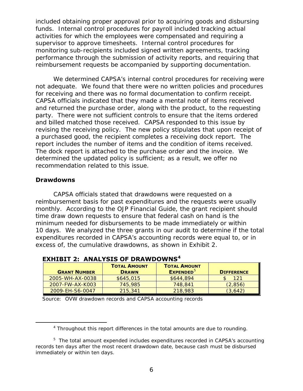funds. Internal control procedures for payroll included tracking actual monitoring sub-recipients included signed written agreements, tracking reimbursement requests be accompanied by supporting documentation. included obtaining proper approval prior to acquiring goods and disbursing activities for which the employees were compensated and requiring a supervisor to approve timesheets. Internal control procedures for performance through the submission of activity reports, and requiring that

 reimbursement requests be accompanied by supporting documentation. We determined CAPSA's internal control procedures for receiving were for receiving and there was no formal documentation to confirm receipt. party. There were not sufficient controls to ensure that the items ordered and billed matched those received. CAPSA responded to this issue by revising the receiving policy. The new policy stipulates that upon receipt of report includes the number of items and the condition of items received. determined the updated policy is sufficient; as a result, we offer no recommendation related to this issue. not adequate. We found that there were no written policies and procedures CAPSA officials indicated that they made a mental note of items received. and returned the purchase order, along with the product, to the requesting a purchased good, the recipient completes a receiving dock report. The The dock report is attached to the purchase order and the invoice. We

#### <span id="page-9-0"></span>**Drawdowns**

<span id="page-9-1"></span>Ì,

 monthly. According to the *OJP Financial Guide*, the grant recipient should time draw down requests to ensure that federal cash on hand is the minimum needed for disbursements to be made immediately or within 10 days. We analyzed the three grants in our audit to determine if the total excess of, the cumulative drawdowns, as shown in Exhibit 2. CAPSA officials stated that drawdowns were requested on a reimbursement basis for past expenditures and the requests were usually expenditures recorded in CAPSA's accounting records were equal to, or in

| <b>GRANT NUMBER</b> | <b>TOTAL AMOUNT</b><br><b>DRAWN</b> | <b>TOTAL AMOUNT</b><br><b>EXPENDED</b> <sup>5</sup> | <b>DIFFERENCE</b> |
|---------------------|-------------------------------------|-----------------------------------------------------|-------------------|
| 2005-WH-AX-0038     | \$645,015                           | \$644,894                                           | 121               |
| 2007-FW-AX-K003     | 745,985                             | 748.841                                             | (2,856)           |
| 2009-EH-S6-0047     | 215,341                             | 218,983                                             | (3,642)           |

 **EXHIBIT 2: ANALYSIS OF DRAWDOWNS[4](#page-9-1)** 

Source: OVW drawdown records and CAPSA accounting records

 $4$  Throughout this report differences in the total amounts are due to rounding.

<span id="page-9-2"></span> $5$  The total amount expended includes expenditures recorded in CAPSA's accounting records ten days after the most recent drawdown date, because cash must be disbursed immediately or within ten days.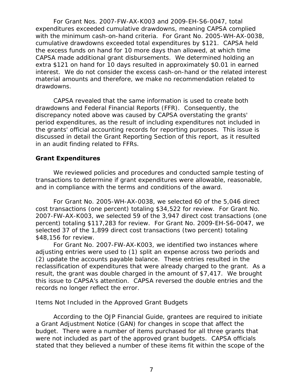with the minimum cash-on-hand criteria. For Grant No. 2005-WH-AX-0038, cumulative drawdowns exceeded total expenditures by \$121. CAPSA held the excess funds on hand for 10 more days than allowed, at which time CAPSA made additional grant disbursements. We determined holding an interest. We do not consider the excess cash-on-hand or the related interest drawdowns. For Grant Nos. 2007-FW-AX-K003 and 2009-EH-S6-0047, total expenditures exceeded cumulative drawdowns, meaning CAPSA complied extra \$121 on hand for 10 days resulted in approximately \$0.01 in earned material amounts and therefore, we make no recommendation related to

 the grants' official accounting records for reporting purposes. This issue is discussed in detail the *Grant Reporting* Section of this report, as it resulted in an audit finding related to FFRs. CAPSA revealed that the same information is used to create both drawdowns and Federal Financial Reports (FFR). Consequently, the discrepancy noted above was caused by CAPSA overstating the grants' period expenditures, as the result of including expenditures not included in

### <span id="page-10-0"></span>**Grant Expenditures**

We reviewed policies and procedures and conducted sample testing of transactions to determine if grant expenditures were allowable, reasonable, and in compliance with the terms and conditions of the award.

For Grant No. 2005-WH-AX-0038, we selected 60 of the 5,046 direct cost transactions (one percent) totaling \$34,522 for review. For Grant No. 2007-FW-AX-K003, we selected 59 of the 3,947 direct cost transactions (one percent) totaling \$117,283 for review. For Grant No. 2009-EH-S6-0047, we selected 37 of the 1,899 direct cost transactions (two percent) totaling \$48,156 for review.

 For Grant No. 2007-FW-AX-K003, we identified two instances where (2) update the accounts payable balance. These entries resulted in the reclassification of expenditures that were already charged to the grant. As a result, the grant was double charged in the amount of \$7,417. We brought this issue to CAPSA's attention. CAPSA reversed the double entries and the records no longer reflect the error. adjusting entries were used to (1) split an expense across two periods and

### <span id="page-10-1"></span> *Items Not Included in the Approved Grant Budgets*

 According to the *OJP Financial Guide*, grantees are required to initiate a Grant Adjustment Notice (GAN) for changes in scope that affect the were not included as part of the approved grant budgets. CAPSA officials budget. There were a number of items purchased for all three grants that stated that they believed a number of these items fit within the scope of the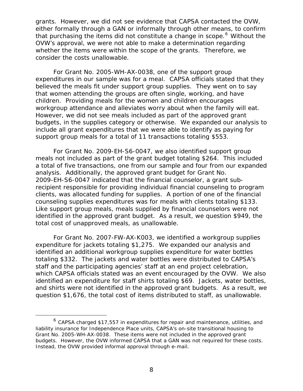grants. However, we did not see evidence that CAPSA contacted the OVW, that purchasing the items did not constitute a change in scope.<sup>[6](#page-11-0)</sup> Without the either formally through a GAN or informally through other means, to confirm OVW's approval, we were not able to make a determination regarding whether the items were within the scope of the grants. Therefore, we consider the costs unallowable.

 expenditures in our sample was for a meal. CAPSA officials stated that they workgroup attendance and alleviates worry about when the family will eat. budgets, in the supplies category or otherwise. We expanded our analysis to For Grant No. 2005-WH-AX-0038, one of the support group believed the meals fit under support group supplies. They went on to say that women attending the groups are often single, working, and have children. Providing meals for the women and children encourages However, we did not see meals included as part of the approved grant include all grant expenditures that we were able to identify as paying for support group meals for a total of 11 transactions totaling \$553.

 meals not included as part of the grant budget totaling \$264. This included analysis. Additionally, the approved grant budget for Grant No. clients, was allocated funding for supplies. A portion of one of the financial identified in the approved grant budget. As a result, we question \$949, the total cost of unapproved meals, as unallowable. For Grant No. 2009-EH-S6-0047, we also identified support group a total of five transactions, one from our sample and four from our expanded 2009-EH-S6-0047 indicated that the financial counselor, a grant subrecipient responsible for providing individual financial counseling to program counseling supplies expenditures was for meals with clients totaling \$133. Like support group meals, meals supplied by financial counselors were not

 expenditure for jackets totaling \$1,275. We expanded our analysis and totaling \$332. The jackets and water bottles were distributed to CAPSA's which CAPSA officials stated was an event encouraged by the OVW. We also and shirts were not identified in the approved grant budgets. As a result, we For Grant No. 2007-FW-AX-K003, we identified a workgroup supplies identified an additional workgroup supplies expenditure for water bottles staff and the participating agencies' staff at an end project celebration, identified an expenditure for staff shirts totaling \$69. Jackets, water bottles, question \$1,676, the total cost of items distributed to staff, as unallowable.

 $\overline{a}$ 

<span id="page-11-0"></span> $^6$  CAPSA charged \$17,557 in expenditures for repair and maintenance, utilities, and liability insurance for Independence Place units, CAPSA's on-site transitional housing to Grant No. 2005-WH-AX-0038. These items were not included in the approved grant budgets. However, the OVW informed CAPSA that a GAN was not required for these costs. Instead, the OVW provided informal approval through e-mail.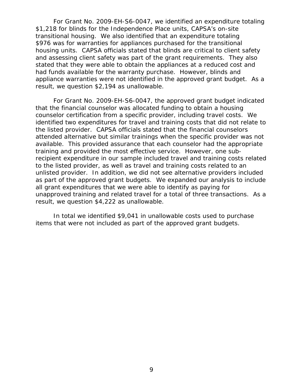housing units. CAPSA officials stated that blinds are critical to client safety had funds available for the warranty purchase. However, blinds and result, we question \$2,194 as unallowable. For Grant No. 2009-EH-S6-0047, we identified an expenditure totaling \$1,218 for blinds for the Independence Place units, CAPSA's on-site transitional housing. We also identified that an expenditure totaling \$976 was for warranties for appliances purchased for the transitional and assessing client safety was part of the grant requirements. They also stated that they were able to obtain the appliances at a reduced cost and appliance warranties were not identified in the approved grant budget. As a

 counselor certification from a specific provider, including travel costs. We identified two expenditures for travel and training costs that did not relate to the listed provider. CAPSA officials stated that the financial counselors training and provided the most effective service. However, one sub- unlisted provider. In addition, we did not see alternative providers included unapproved training and related travel for a total of three transactions. As a For Grant No. 2009-EH-S6-0047, the approved grant budget indicated that the financial counselor was allocated funding to obtain a housing attended alternative but similar trainings when the specific provider was not available. This provided assurance that each counselor had the appropriate recipient expenditure in our sample included travel and training costs related to the listed provider, as well as travel and training costs related to an as part of the approved grant budgets. We expanded our analysis to include all grant expenditures that we were able to identify as paying for result, we question \$4,222 as unallowable.

 items that were not included as part of the approved grant budgets. In total we identified \$9,041 in unallowable costs used to purchase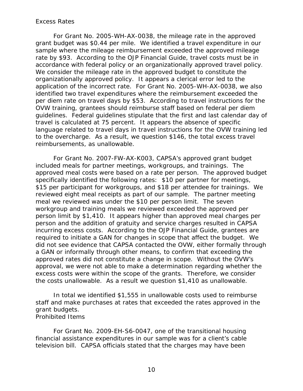#### <span id="page-13-2"></span><span id="page-13-0"></span>*Excess Rates*

 grant budget was \$0.44 per mile. We identified a travel expenditure in our rate by \$93. According to the *OJP Financial Guide*, travel costs must be in organizationally approved policy. It appears a clerical error led to the application of the incorrect rate. For Grant No. 2005-WH-AX-0038, we also guidelines. Federal guidelines stipulate that the first and last calendar day of language related to travel days in travel instructions for the OVW training led reimbursements, as unallowable. For Grant No. 2005-WH-AX-0038, the mileage rate in the approved sample where the mileage reimbursement exceeded the approved mileage accordance with federal policy or an organizationally approved travel policy. We consider the mileage rate in the approved budget to constitute the identified two travel expenditures where the reimbursement exceeded the per diem rate on travel days by \$53. According to travel instructions for the OVW training, grantees should reimburse staff based on federal per diem travel is calculated at 75 percent. It appears the absence of specific to the overcharge. As a result, we question \$146, the total excess travel

reimbursements, as unallowable.<br>For Grant No. 2007-FW-AX-K003, CAPSA's approved grant budget meal we reviewed was under the \$10 per person limit. The seven required to initiate a GAN for changes in scope that affect the budget. We approved rates did not constitute a change in scope. Without the OVW's the costs unallowable. As a result we question \$1,410 as unallowable. included meals for partner meetings, workgroups, and trainings. The approved meal costs were based on a rate per person. The approved budget specifically identified the following rates: \$10 per partner for meetings, \$15 per participant for workgroups, and \$18 per attendee for trainings. We reviewed eight meal receipts as part of our sample. The partner meeting workgroup and training meals we reviewed exceeded the approved per person limit by \$1,410. It appears higher than approved meal charges per person and the addition of gratuity and service charges resulted in CAPSA incurring excess costs. According to the *OJP Financial Guide*, grantees are did not see evidence that CAPSA contacted the OVW, either formally through a GAN or informally through other means, to confirm that exceeding the approval, we were not able to make a determination regarding whether the excess costs were within the scope of the grants. Therefore, we consider

 staff and make purchases at rates that exceeded the rates approved in the In total we identified \$1,555 in unallowable costs used to reimburse grant budgets. *Prohibited Items* 

<span id="page-13-1"></span>For Grant No. 2009-EH-S6-0047, one of the transitional housing financial assistance expenditures in our sample was for a client's cable television bill. CAPSA officials stated that the charges may have been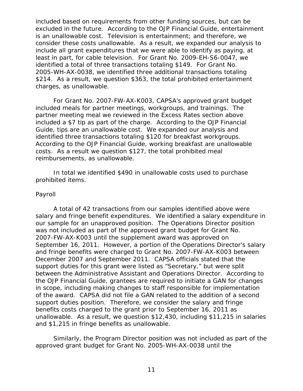excluded in the future. According to the *OJP Financial Guide*, entertainment identified a total of three transactions totaling \$149. For Grant No. \$214. As a result, we question \$363, the total prohibited entertainment charges, as unallowable. included based on requirements from other funding sources, but can be is an unallowable cost. Television is entertainment; and therefore, we consider these costs unallowable. As a result, we expanded our analysis to include all grant expenditures that we were able to identify as paying, at least in part, for cable television. For Grant No. 2009-EH-S6-0047, we 2005-WH-AX-0038, we identified three additional transactions totaling

charges, as unallowable.<br>For Grant No. 2007-FW-AX-K003, CAPSA's approved grant budget included meals for partner meetings, workgroups, and trainings. The included a \$7 tip as part of the charge. According to the *OJP Financial*  identified three transactions totaling \$120 for breakfast workgroups. identified three transactions totaling \$120 for breakfast workgroups.<br>According to the *OJP Financial Guide*, working breakfast are unallowable partner meeting meal we reviewed in the *Excess Rates* section above *Guide*, tips are an unallowable cost. We expanded our analysis and costs. As a result we question \$127, the total prohibited meal reimbursements, as unallowable.

In total we identified \$490 in unallowable costs used to purchase prohibited items.

#### <span id="page-14-0"></span>*Payroll*

 salary and fringe benefit expenditures. We identified a salary expenditure in our sample for an unapproved position. The Operations Director position between the Administrative Assistant and Operations Director. According to and \$1,215 in fringe benefits as unallowable. A total of 42 transactions from our samples identified above were was not included as part of the approved grant budget for Grant No. 2007-FW-AX-K003 until the supplement award was approved on September 16, 2011. However, a portion of the Operations Director's salary and fringe benefits were charged to Grant No. 2007-FW-AX-K003 between December 2007 and September 2011. CAPSA officials stated that the support duties for this grant were listed as "Secretary," but were split the *OJP Financial Guide*, grantees are required to initiate a GAN for changes in scope, including making changes to staff responsible for implementation of the award. CAPSA did not file a GAN related to the addition of a second support duties position. Therefore, we consider the salary and fringe benefits costs charged to the grant prior to September 16, 2011 as unallowable. As a result, we question \$12,430, including \$11,215 in salaries

Similarly, the Program Director position was not included as part of the approved grant budget for Grant No. 2005-WH-AX-0038 until the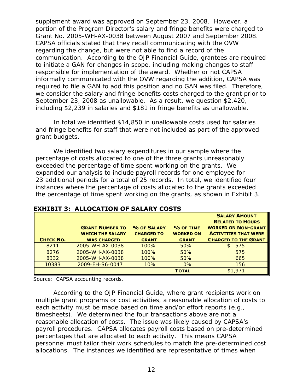Grant No. 2005-WH-AX-0038 between August 2007 and September 2008. Grant No. 2005-WH-AX-0038 between August 2007 and September 2008. CAPSA officials stated that they recall communicating with the OVW communication. According to the *OJP Financial Guide*, grantees are required we consider the salary and fringe benefits costs charged to the grant prior to September 23, 2008 as unallowable. As a result, we question \$2,420, including \$2,239 in salaries and \$181 in fringe benefits as unallowable. supplement award was approved on September 23, 2008. However, a portion of the Program Director's salary and fringe benefits were charged to regarding the change, but were not able to find a record of the to initiate a GAN for changes in scope, including making changes to staff responsible for implementation of the award. Whether or not CAPSA informally communicated with the OVW regarding the addition, CAPSA was required to file a GAN to add this position and no GAN was filed. Therefore,

 grant budgets. including \$2,239 in salaries and \$181 in fringe benefits as unallowable. In total we identified \$14,850 in unallowable costs used for salaries and fringe benefits for staff that were not included as part of the approved

 exceeded the percentage of time spent working on the grants. We 23 additional periods for a total of 25 records. In total, we identified four the percentage of time spent working on the grants, as shown in Exhibit 3. We identified two salary expenditures in our sample where the percentage of costs allocated to one of the three grants unreasonably expanded our analysis to include payroll records for one employee for instances where the percentage of costs allocated to the grants exceeded

| <b>CHECK NO.</b> | <b>GRANT NUMBER TO</b><br><b>WHICH THE SALARY</b><br><b>WAS CHARGED</b> | % OF SALARY<br><b>CHARGED TO</b><br><b>GRANT</b> | $%$ OF TIME<br><b>WORKED ON</b><br><b>GRANT</b> | <b>SALARY AMOUNT</b><br><b>RELATED TO HOURS</b><br><b>WORKED ON NON-GRANT</b><br><b>ACTIVITIES THAT WERE</b><br><b>CHARGED TO THE GRANT</b> |
|------------------|-------------------------------------------------------------------------|--------------------------------------------------|-------------------------------------------------|---------------------------------------------------------------------------------------------------------------------------------------------|
| 8211             | 2005-WH-AX-0038                                                         | 100%                                             | 50%                                             | 575                                                                                                                                         |
| 8276             | 2005-WH-AX-0038                                                         | 100%                                             | 50%                                             | 575                                                                                                                                         |
| 8332             | 2005-WH-AX-0038                                                         | 100%                                             | 50%                                             | 665                                                                                                                                         |
| 10383            | 2009-EH-S6-0047                                                         | 10%                                              | 0%                                              | 156                                                                                                                                         |
|                  |                                                                         |                                                  | <b>TOTAL</b>                                    | \$1,971                                                                                                                                     |

 **EXHIBIT 3: ALLOCATION OF SALARY COSTS** 

Source: CAPSA accounting records.

 According to the *OJP Financial Guide*, where grant recipients work on timesheets). We determined the four transactions above are not a reasonable allocation of costs. The issue was likely caused by CAPSA's multiple grant programs or cost activities, a reasonable allocation of costs to each activity must be made based on time and/or effort reports (e.g., payroll procedures. CAPSA allocates payroll costs based on pre-determined percentages that are allocated to each activity. This means CAPSA personnel must tailor their work schedules to match the pre-determined cost allocations. The instances we identified are representative of times when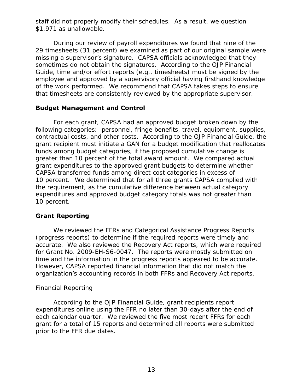staff did not properly modify their schedules. As a result, we question \$1,971 as unallowable.

 missing a supervisor's signature. CAPSA officials acknowledged that they of the work performed. We recommend that CAPSA takes steps to ensure During our review of payroll expenditures we found that nine of the 29 timesheets (31 percent) we examined as part of our original sample were sometimes do not obtain the signatures. According to the *OJP Financial Guide*, time and/or effort reports (e.g., timesheets) must be signed by the employee and approved by a supervisory official having firsthand knowledge that timesheets are consistently reviewed by the appropriate supervisor.

#### <span id="page-16-0"></span>**Budget Management and Control**

 For each grant, CAPSA had an approved budget broken down by the contractual costs, and other costs. According to the *OJP Financial Guide*, the funds among budget categories, if the proposed cumulative change is greater than 10 percent of the total award amount. We compared actual 10 percent. We determined that for all three grants CAPSA complied with 10 percent. following categories: personnel, fringe benefits, travel, equipment, supplies, grant recipient must initiate a GAN for a budget modification that reallocates grant expenditures to the approved grant budgets to determine whether CAPSA transferred funds among direct cost categories in excess of the requirement, as the cumulative difference between actual category expenditures and approved budget category totals was not greater than

### <span id="page-16-1"></span>**Grant Reporting**

 for Grant No. 2009-EH-S6-0047. The reports were mostly submitted on time and the information in the progress reports appeared to be accurate. We reviewed the FFRs and Categorical Assistance Progress Reports (progress reports) to determine if the required reports were timely and accurate. We also reviewed the Recovery Act reports, which were required However, CAPSA reported financial information that did not match the organization's accounting records in both FFRs and Recovery Act reports.

#### <span id="page-16-2"></span>*Financial Reporting*

 expenditures online using the FFR no later than 30-days after the end of each calendar quarter. We reviewed the five most recent FFRs for each prior to the FFR due dates. According to the *OJP Financial Guide*, grant recipients report grant for a total of 15 reports and determined all reports were submitted prior to the FFR due dates.<br>13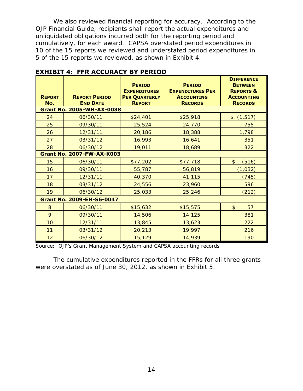We also reviewed financial reporting for accuracy. According to the *OJP Financial Guide*, recipients shall report the actual expenditures and unliquidated obligations incurred both for the reporting period and cumulatively, for each award. CAPSA overstated period expenditures in 10 of the 15 reports we reviewed and understated period expenditures in 5 of the 15 reports we reviewed, as shown in Exhibit 4.

| <b>REPORT</b><br>No. | <b>REPORT PERIOD</b><br><b>END DATE</b> | <b>PERIOD</b><br><b>EXPENDITURES</b><br><b>PER QUARTERLY</b><br><b>REPORT</b> | <b>PERIOD</b><br><b>EXPENDITURES PER</b><br><b>ACCOUNTING</b><br><b>RECORDS</b> | <b>DIFFERENCE</b><br><b>BETWEEN</b><br><b>REPORTS &amp;</b><br><b>ACCOUNTING</b><br><b>RECORDS</b> |
|----------------------|-----------------------------------------|-------------------------------------------------------------------------------|---------------------------------------------------------------------------------|----------------------------------------------------------------------------------------------------|
|                      | <b>Grant No. 2005-WH-AX-0038</b>        |                                                                               |                                                                                 |                                                                                                    |
| 24                   | 06/30/11                                | \$24,401                                                                      | \$25,918                                                                        | \$(1,517)                                                                                          |
| 25                   | 09/30/11                                | 25,524                                                                        | 24,770                                                                          | 755                                                                                                |
| 26                   | 12/31/11                                | 20,186                                                                        | 18,388                                                                          | 1,798                                                                                              |
| 27                   | 03/31/12                                | 16,993                                                                        | 16,641                                                                          | 351                                                                                                |
| 28                   | 06/30/12                                | 19,011                                                                        | 18,689                                                                          | 322                                                                                                |
|                      | <b>Grant No. 2007-FW-AX-K003</b>        |                                                                               |                                                                                 |                                                                                                    |
| 15                   | 06/30/11                                | \$77,202                                                                      | \$77,718                                                                        | \$<br>(516)                                                                                        |
| 16                   | 09/30/11                                | 55,787                                                                        | 56,819                                                                          | (1, 032)                                                                                           |
| 17                   | 12/31/11                                | 40,370                                                                        | 41,115                                                                          | (745)                                                                                              |
| 18                   | 03/31/12                                | 24,556                                                                        | 23,960                                                                          | 596                                                                                                |
| 19                   | 06/30/12                                | 25,033                                                                        | 25,246                                                                          | (212)                                                                                              |
|                      | <b>Grant No. 2009-EH-S6-0047</b>        |                                                                               |                                                                                 |                                                                                                    |
| 8                    | 06/30/11                                | \$15,632                                                                      | \$15,575                                                                        | $\mathsf{\$}$<br>57                                                                                |
| 9                    | 09/30/11                                | 14,506                                                                        | 14,125                                                                          | 381                                                                                                |
| 10                   | 12/31/11                                | 13,845                                                                        | 13,623                                                                          | 222                                                                                                |
| 11                   | 03/31/12                                | 20,213                                                                        | 19,997                                                                          | 216                                                                                                |
| 12                   | 06/30/12                                | 15,129                                                                        | 14,939                                                                          | 190                                                                                                |

## **EXHIBIT 4: FFR ACCURACY BY PERIOD**

Source: OJP's Grant Management System and CAPSA accounting records

were overstated as of June 30, 2012, as shown in Exhibit 5. The cumulative expenditures reported in the FFRs for all three grants were overstated as of June 30, 2012, as shown in Exhibit 5.<br>14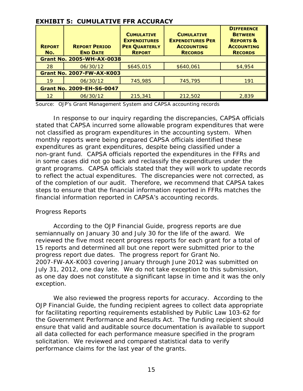|                      | <b>EXHIBIT 5: CUMULATIVE FFR ACCURACY</b> |                                                                                   |                                                                                     |                                                                                                    |
|----------------------|-------------------------------------------|-----------------------------------------------------------------------------------|-------------------------------------------------------------------------------------|----------------------------------------------------------------------------------------------------|
| <b>REPORT</b><br>No. | <b>REPORT PERIOD</b><br><b>END DATE</b>   | <b>CUMULATIVE</b><br><b>EXPENDITURES</b><br><b>PER QUARTERLY</b><br><b>REPORT</b> | <b>CUMULATIVE</b><br><b>EXPENDITURES PER</b><br><b>ACCOUNTING</b><br><b>RECORDS</b> | <b>DIFFERENCE</b><br><b>BETWEEN</b><br><b>REPORTS &amp;</b><br><b>ACCOUNTING</b><br><b>RECORDS</b> |
|                      | <b>Grant No. 2005-WH-AX-0038</b>          |                                                                                   |                                                                                     |                                                                                                    |
| 28                   | 06/30/12                                  | \$645,015                                                                         | \$640,061                                                                           | \$4,954                                                                                            |
|                      | <b>Grant No. 2007-FW-AX-K003</b>          |                                                                                   |                                                                                     |                                                                                                    |
| 19                   | 06/30/12                                  | 745,985                                                                           | 745,795                                                                             | 191                                                                                                |
|                      | <b>Grant No. 2009-EH-S6-0047</b>          |                                                                                   |                                                                                     |                                                                                                    |
| $12 \,$              | 06/30/12                                  | 215,341                                                                           | 212,502                                                                             | 2,839                                                                                              |

### **EXHIBIT 5: CUMULATIVE FFR ACCURACY**

Source: OJP's Grant Management System and CAPSA accounting records

 stated that CAPSA incurred some allowable program expenditures that were non-grant fund. CAPSA officials reported the expenditures in the FFRs and grant programs. CAPSA officials stated that they will work to update records of the completion of our audit. Therefore, we recommend that CAPSA takes In response to our inquiry regarding the discrepancies, CAPSA officials not classified as program expenditures in the accounting system. When monthly reports were being prepared CAPSA officials identified these expenditures as grant expenditures, despite being classified under a in some cases did not go back and reclassify the expenditures under the to reflect the actual expenditures. The discrepancies were not corrected, as steps to ensure that the financial information reported in FFRs matches the financial information reported in CAPSA's accounting records.

#### <span id="page-18-0"></span>*Progress Reports*

 According to the *OJP Financial Guide*, progress reports are due semiannually on January 30 and July 30 for the life of the award. We reviewed the five most recent progress reports for each grant for a total of progress report due dates. The progress report for Grant No. July 31, 2012, one day late. We do not take exception to this submission, 15 reports and determined all but one report were submitted prior to the 2007-FW-AX-K003 covering January through June 2012 was submitted on as one day does not constitute a significant lapse in time and it was the only exception.

 We also reviewed the progress reports for accuracy. According to the solicitation. We reviewed and compared statistical data to verify performance claims for the last year of the grants.<br>15 *OJP Financial Guide*, the funding recipient agrees to collect data appropriate for facilitating reporting requirements established by Public Law 103-62 for the *Government Performance and Results Act*. The funding recipient should ensure that valid and auditable source documentation is available to support all data collected for each performance measure specified in the program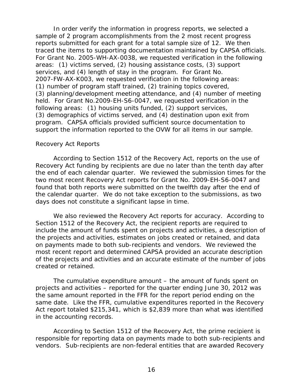reports submitted for each grant for a total sample size of 12. We then program. CAPSA officials provided sufficient source documentation to support the information reported to the OVW for all items in our sample. In order verify the information in progress reports, we selected a sample of 2 program accomplishments from the 2 most recent progress traced the items to supporting documentation maintained by CAPSA officials. For Grant No. 2005-WH-AX-0038, we requested verification in the following areas: (1) victims served, (2) housing assistance costs, (3) support services, and (4) length of stay in the program. For Grant No. 2007-FW-AX-K003, we requested verification in the following areas: (1) number of program staff trained, (2) training topics covered, (3) planning/development meeting attendance, and (4) number of meeting held. For Grant No.2009-EH-S6-0047, we requested verification in the following areas: (1) housing units funded, (2) support services, (3) demographics of victims served, and (4) destination upon exit from

### <span id="page-19-0"></span>*Recovery Act Reports*

 the end of each calendar quarter. We reviewed the submission times for the the calendar quarter. We do not take exception to the submissions, as two days does not constitute a significant lapse in time. According to *Section 1512 of the Recovery Act*, reports on the use of Recovery Act funding by recipients are due no later than the tenth day after two most recent Recovery Act reports for Grant No. 2009-EH-S6-0047 and found that both reports were submitted on the twelfth day after the end of

 days does not constitute a significant lapse in time. We also reviewed the Recovery Act reports for accuracy. According to on payments made to both sub-recipients and vendors. We reviewed the *Section 1512 of the Recovery Act*, the recipient reports are required to include the amount of funds spent on projects and activities, a description of the projects and activities, estimates on jobs created or retained, and data most recent report and determined CAPSA provided an accurate description of the projects and activities and an accurate estimate of the number of jobs created or retained.

 Act report totaled \$215,341, which is \$2,839 more than what was identified The cumulative expenditure amount – the amount of funds spent on projects and activities – reported for the quarter ending June 30, 2012 was the same amount reported in the FFR for the report period ending on the same date. Like the FFR, cumulative expenditures reported in the Recovery in the accounting records.

According to *Section 1512 of the Recovery Act*, the prime recipient is responsible for reporting data on payments made to both sub-recipients and vendors. Sub-recipients are non-federal entities that are awarded Recovery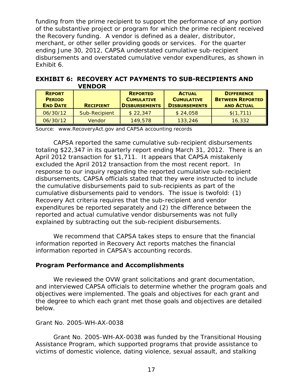merchant, or other seller providing goods or services. For the quarter funding from the prime recipient to support the performance of any portion of the substantive project or program for which the prime recipient received the Recovery funding. A vendor is defined as a dealer, distributor, ending June 30, 2012, CAPSA understated cumulative sub-recipient disbursements and overstated cumulative vendor expenditures, as shown in Exhibit 6.

|                                                   | .                |                                                              |                                                            |                                                                   |
|---------------------------------------------------|------------------|--------------------------------------------------------------|------------------------------------------------------------|-------------------------------------------------------------------|
| <b>REPORT</b><br><b>PERIOD</b><br><b>END DATE</b> | <b>RECIPIENT</b> | <b>REPORTED</b><br><b>CUMULATIVE</b><br><b>DISBURSEMENTS</b> | <b>ACTUAL</b><br><b>CUMULATIVE</b><br><b>DISBURSEMENTS</b> | <b>DIFFERENCE</b><br><b>BETWEEN REPORTED</b><br><b>AND ACTUAL</b> |
| 06/30/12                                          | Sub-Recipient    | \$22,347                                                     | \$24,058                                                   | \$(1,711)                                                         |
| 06/30/12                                          | <b>Vendor</b>    | 149,578                                                      | 133,246                                                    | 16,332                                                            |

 **EXHIBIT 6: RECOVERY ACT PAYMENTS TO SUB-RECIPIENTS AND VENDOR** 

Source: www.RecoveryAct.gov and CAPSA accounting records

 excluded the April 2012 transaction from the most recent report. In cumulative disbursements paid to vendors. The issue is twofold: (1) reported and actual cumulative vendor disbursements was not fully CAPSA reported the same cumulative sub-recipient disbursements totaling \$22,347 in its quarterly report ending March 31, 2012. There is an April 2012 transaction for \$1,711. It appears that CAPSA mistakenly response to our inquiry regarding the reported cumulative sub-recipient disbursements, CAPSA officials stated that they were instructed to include the cumulative disbursements paid to sub-recipients as part of the Recovery Act criteria requires that the sub-recipient and vendor expenditures be reported separately and (2) the difference between the explained by subtracting out the sub-recipient disbursements.

 information reported in CAPSA's accounting records. We recommend that CAPSA takes steps to ensure that the financial information reported in Recovery Act reports matches the financial

### <span id="page-20-0"></span>**Program Performance and Accomplishments**

 below. We reviewed the OVW grant solicitations and grant documentation, and interviewed CAPSA officials to determine whether the program goals and objectives were implemented. The goals and objectives for each grant and the degree to which each grant met those goals and objectives are detailed

#### <span id="page-20-1"></span>*Grant No. 2005-WH-AX-0038*

 Assistance Program, which supported programs that provide assistance to Grant No. 2005-WH-AX-0038 was funded by the Transitional Housing victims of domestic violence, dating violence, sexual assault, and stalking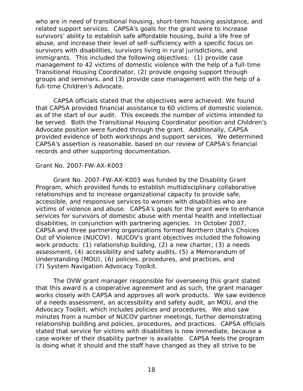related support services. CAPSA's goals for the grant were to increase immigrants. This included the following objectives: (1) provide case groups and seminars, and (3) provide case management with the help of a full-time Children's Advocate. who are in need of transitional housing, short-term housing assistance, and survivors' ability to establish safe affordable housing, build a life free of abuse, and increase their level of self-sufficiency with a specific focus on survivors with disabilities, survivors living in rural jurisdictions, and management to 42 victims of domestic violence with the help of a full-time Transitional Housing Coordinator, (2) provide ongoing support through

 provided evidence of both workshops and support services. We determined records and other supporting documentation. CAPSA officials stated that the objectives were achieved. We found that CAPSA provided financial assistance to 60 victims of domestic violence, as of the start of our audit. This exceeds the number of victims intended to be served. Both the Transitional Housing Coordinator position and Children's Advocate position were funded through the grant. Additionally, CAPSA CAPSA's assertion is reasonable, based on our review of CAPSA's financial

#### <span id="page-21-0"></span>*Grant No. 2007-FW-AX-K003*

 Program, which provided funds to establish multidisciplinary collaborative victims of violence and abuse. CAPSA's goals for the grant were to enhance disabilities, in conjunction with partnering agencies. In October 2007, Out of Violence (NUCOV). NUCOV's grant objectives included the following (7) System Navigation Advocacy Toolkit. Grant No. 2007-FW-AX-K003 was funded by the Disability Grant relationships and to increase organizational capacity to provide safe, accessible, and responsive services to women with disabilities who are services for survivors of domestic abuse with mental health and intellectual CAPSA and three partnering organizations formed Northern Utah's Choices work products: (1) relationship building, (2) a new charter, (3) a needs assessment, (4) accessibility and safety audits, (5) a Memorandum of Understanding (MOU), (6) policies, procedures, and practices, and

 works closely with CAPSA and approves all work products. We saw evidence Advocacy Toolkit, which includes policies and procedures. We also saw relationship building and policies, procedures, and practices. CAPSA officials case worker of their disability partner is available. CAPSA feels the program The OVW grant manager responsible for overseeing this grant stated that this award is a cooperative agreement and as such, the grant manager of a needs assessment, an accessibility and safety audit, an MOU, and the minutes from a number of NUCOV partner meetings, further demonstrating stated that service for victims with disabilities is now immediate, because a is doing what it should and the staff have changed as they all strive to be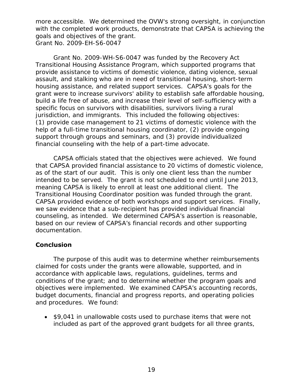with the completed work products, demonstrate that CAPSA is achieving the goals and objectives of the grant. more accessible. We determined the OVW's strong oversight, in conjunction *Grant No. 2009-EH-S6-0047* 

<span id="page-22-0"></span> specific focus on survivors with disabilities, survivors living a rural jurisdiction, and immigrants. This included the following objectives: financial counseling with the help of a part-time advocate. Grant No. 2009-WH-S6-0047 was funded by the Recovery Act Transitional Housing Assistance Program, which supported programs that provide assistance to victims of domestic violence, dating violence, sexual assault, and stalking who are in need of transitional housing, short-term housing assistance, and related support services. CAPSA's goals for the grant were to increase survivors' ability to establish safe affordable housing, build a life free of abuse, and increase their level of self-sufficiency with a (1) provide case management to 21 victims of domestic violence with the help of a full-time transitional housing coordinator, (2) provide ongoing support through groups and seminars, and (3) provide individualized

 financial counseling with the help of a part-time advocate. CAPSA officials stated that the objectives were achieved. We found Transitional Housing Coordinator position was funded through the grant. that CAPSA provided financial assistance to 20 victims of domestic violence, as of the start of our audit. This is only one client less than the number intended to be served. The grant is not scheduled to end until June 2013, meaning CAPSA is likely to enroll at least one additional client. The CAPSA provided evidence of both workshops and support services. Finally, we saw evidence that a sub-recipient has provided individual financial counseling, as intended. We determined CAPSA's assertion is reasonable, based on our review of CAPSA's financial records and other supporting documentation.

### <span id="page-22-1"></span>**Conclusion**

 and procedures. We found: The purpose of this audit was to determine whether reimbursements claimed for costs under the grants were allowable, supported, and in accordance with applicable laws, regulations, guidelines, terms and conditions of the grant; and to determine whether the program goals and objectives were implemented. We examined CAPSA's accounting records, budget documents, financial and progress reports, and operating policies

 included as part of the approved grant budgets for all three grants, • \$9,041 in unallowable costs used to purchase items that were not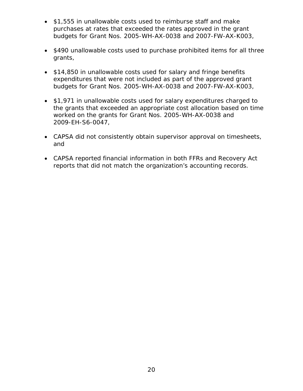- \$1,555 in unallowable costs used to reimburse staff and make purchases at rates that exceeded the rates approved in the grant budgets for Grant Nos. 2005-WH-AX-0038 and 2007-FW-AX-K003,
- \$490 unallowable costs used to purchase prohibited items for all three grants,
- budgets for Grant Nos. 2005-WH-AX-0038 and 2007-FW-AX-K003, • \$14,850 in unallowable costs used for salary and fringe benefits expenditures that were not included as part of the approved grant
- \$1,971 in unallowable costs used for salary expenditures charged to the grants that exceeded an appropriate cost allocation based on time worked on the grants for Grant Nos. 2005-WH-AX-0038 and 2009-EH-S6-0047,
- CAPSA did not consistently obtain supervisor approval on timesheets, and
- CAPSA reported financial information in both FFRs and Recovery Act reports that did not match the organization's accounting records.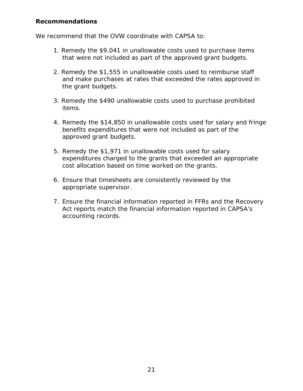### <span id="page-24-0"></span>**Recommendations**

We recommend that the OVW coordinate with CAPSA to:

- 1. Remedy the \$9,041 in unallowable costs used to purchase items that were not included as part of the approved grant budgets.
- the grant budgets. 2. Remedy the \$1,555 in unallowable costs used to reimburse staff and make purchases at rates that exceeded the rates approved in
- 3. Remedy the \$490 unallowable costs used to purchase prohibited items.
- approved grant budgets. 4. Remedy the \$14,850 in unallowable costs used for salary and fringe benefits expenditures that were not included as part of the
- cost allocation based on time worked on the grants. 5. Remedy the \$1,971 in unallowable costs used for salary expenditures charged to the grants that exceeded an appropriate
- 6. Ensure that timesheets are consistently reviewed by the appropriate supervisor.
- accounting records. 7. Ensure the financial information reported in FFRs and the Recovery Act reports match the financial information reported in CAPSA's accounting records.<br>
21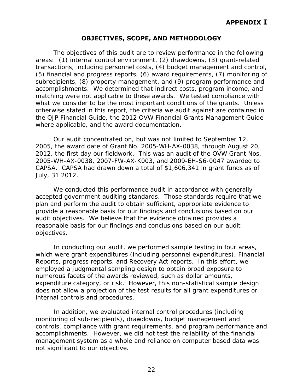### **OBJECTIVES, SCOPE, AND METHODOLOGY**

<span id="page-25-0"></span> (5) financial and progress reports, (6) award requirements, (7) monitoring of matching were not applicable to these awards. We tested compliance with what we consider to be the most important conditions of the grants. Unless where applicable, and the award documentation. The objectives of this audit are to review performance in the following areas: (1) internal control environment, (2) drawdowns, (3) grant-related transactions, including personnel costs, (4) budget management and control, subrecipients, (8) property management, and (9) program performance and accomplishments. We determined that indirect costs, program income, and otherwise stated in this report, the criteria we audit against are contained in the *OJP Financial Guide*, the *2012 OVW Financial Grants Management Guide* 

where applicable, and the award documentation.<br>Our audit concentrated on, but was not limited to September 12, 2012, the first day our fieldwork. This was an audit of the OVW Grant Nos. CAPSA. CAPSA had drawn down a total of \$1,606,341 in grant funds as of July, 31 2012. 2005, the award date of Grant No. 2005-WH-AX-0038, through August 20, 2005-WH-AX-0038, 2007-FW-AX-K003, and 2009-EH-S6-0047 awarded to

 We conducted this performance audit in accordance with generally accepted government auditing standards. Those standards require that we audit objectives. We believe that the evidence obtained provides a reasonable basis for our findings and conclusions based on our audit objectives. plan and perform the audit to obtain sufficient, appropriate evidence to provide a reasonable basis for our findings and conclusions based on our

In conducting our audit, we performed sample testing in four areas, which were grant expenditures (including personnel expenditures), Financial Reports, progress reports, and Recovery Act reports. In this effort, we employed a judgmental sampling design to obtain broad exposure to numerous facets of the awards reviewed, such as dollar amounts, expenditure category, or risk. However, this non-statistical sample design does not allow a projection of the test results for all grant expenditures or internal controls and procedures.

 controls, compliance with grant requirements, and program performance and not significant to our objective.<br>22 In addition, we evaluated internal control procedures (including monitoring of sub-recipients), drawdowns, budget management and accomplishments. However, we did not test the reliability of the financial management system as a whole and reliance on computer based data was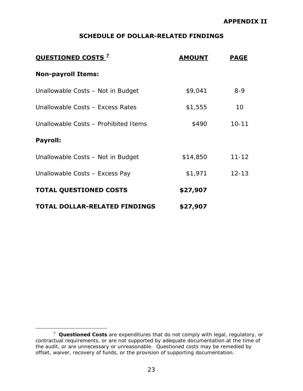#### **APPENDIX II**

### **SCHEDULE OF DOLLAR-RELATED FINDINGS**

<span id="page-26-0"></span>

| <b>OUESTIONED COSTS<sup>2</sup></b>  | <b>AMOUNT</b> | <b>PAGE</b> |
|--------------------------------------|---------------|-------------|
| <b>Non-payroll Items:</b>            |               |             |
| Unallowable Costs - Not in Budget    | \$9,041       | $8 - 9$     |
| Unallowable Costs - Excess Rates     | \$1,555       | 10          |
| Unallowable Costs - Prohibited Items | \$490         | $10 - 11$   |
| <b>Payroll:</b>                      |               |             |
| Unallowable Costs - Not in Budget    | \$14,850      | $11 - 12$   |
| Unallowable Costs - Excess Pay       | \$1,971       | $12 - 13$   |
| <b>TOTAL QUESTIONED COSTS</b>        | \$27,907      |             |
| <b>TOTAL DOLLAR-RELATED FINDINGS</b> | \$27,907      |             |

 $\overline{a}$ 

<span id="page-26-1"></span> <sup>7</sup>*Questioned Costs* are expenditures that do not comply with legal, regulatory, or contractual requirements, or are not supported by adequate documentation at the time of the audit, or are unnecessary or unreasonable. Questioned costs may be remedied by offset, waiver, recovery of funds, or the provision of supporting documentation.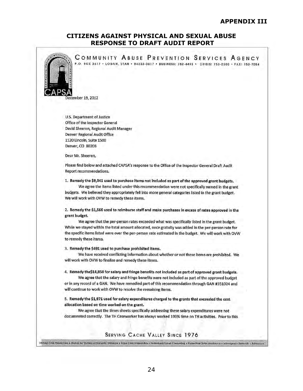#### **CITIZENS AGAINST PHYSICAL AND SEXUAL ABUSE RESPONSE TO DRAFT AUDIT REPORT**



<span id="page-27-0"></span>COMMUNITY ABUSE PREVENTION SERVICES AGENCY P.O. BOX 3617 • LOGAN, UTAH • 84323-3617 • BUSINESS: 752-4493 · CRISIS: 753-2500 • FAX: 753-7054

ember 19, 2012

u.s. Department of Justice Office of the Inspector Genera! David Sheeren, Regional Audit Manager Denver Regional Audit Office 1120 Lincoln, Suite 1500 Denver, CO 80203

Dear Mr. Sheeren,

please find below and attached CAPSA's response to the Office of the Inspector General Draft Audit Report recommendations.

1. Remedy the \$9,041 used to purchase items not included as part of the approved grant budgets. We agree the Items listed under this recommendation were not speciflcally named In the grant

budgets. We believed they appropriately fell Into more general categories listed in the grant budget. We will work with OVW to remedy these items.

2. Remedy the \$1,566 used to reimburse staff and make purchases In excess of rates approved In the grant budget.

We agree that the per-person rates exceeded what was specifically listed in the grant budget. While we stayed w!thln the total amount allocated, once gratuity was added in the per-person rate for the specific Items listed were over the per-person rate estimated In the budget. We will work with OVW to remedy these Items.

3. Remedy the \$491 used to purchase prohibited Items.

We have received conflicting information about whether or not these items are prohibited. We will work with OVW to finalize and remedy these items.

4. Remedy the\$14,850 for salary and fringe benefits not included as part of approved grant budgets.

We agree that the salary and fringe benefits were not included as part of the approved budget or in any record of a GAN. We have remedied part of this recommendation through GAN #351024 and will continue to work with OVW to resolve the remaining items.

#### 5. Remedy the \$1,971 used for salary expenditures charged to the grants that exceeded the cost allocation based on time worked on the grant.

We agree that the times sheets specifically addressing these salary expenditures were not documented correctly. The TH Caseworker has always worked 100% time on TH activities. Prior to this

#### SERVING CACHE VALLEY SINCE 1976 24 Hour Crist Phone Line + Shaller for Victins of Domestic Violence + Rope Crist Intervention + Individual/Group Counseling + Protective Order Assistance + Interogency Referrols + Advocacy

24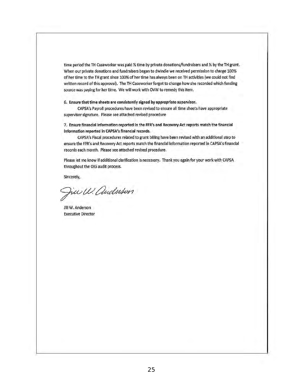time period the TH Caseworker was paid *Y,* time by private donatlons/fundraisers and *Y,* by the TH grant. When our private donations and fundraisers began to dwindle we received permission to charge 100% of her time to the TH grant since 100% of her time has always been on TH activities (we could not find written record of this approval). The TH caseworker forgot to change how she recorded which funding source was paying for her time. We will work with OVW to remedy this Item.

6. Ensure that time sheets are consistently signed by appropriate supervisor.

CAPSA's Payroll procedures have been revised to ensure all time sheets have appropriate supervisor signature. Please see attached revised procedure

7. Ensure flnandal Information reported In the FFR's and Recovery Act reports match the financial Information reported In CAPSA's financial records.

CAPSA's Fiscal procedures related to grant billing have been revised with an additional step to ensure the FFR's and Recovery Act reports match the financial Information reponed In CAPSA's financial records each month. Please see attached revised procedure.

Please let me know if additional clarification is necessary. Thank you again for your work with CAPSA throughout the OIG audit process,

Sincerely,

Jue W. Auduston

Jill W. Anderson Executive Director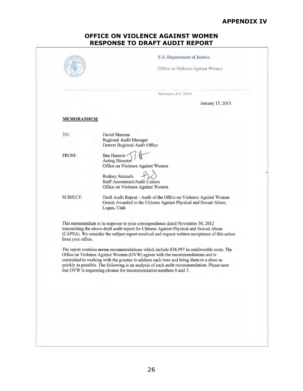#### **APPENDIX IV**

### **OFFICE ON VIOLENCE AGAINST WOMEN RESPONSE TO DRAFT AUDIT REPORT**

<span id="page-29-0"></span>

|                   | Washington, D.C. 20530                                                                                                                                                                                                                                                                                                                                                                                                                      |
|-------------------|---------------------------------------------------------------------------------------------------------------------------------------------------------------------------------------------------------------------------------------------------------------------------------------------------------------------------------------------------------------------------------------------------------------------------------------------|
|                   | January 15, 2013                                                                                                                                                                                                                                                                                                                                                                                                                            |
| <b>MEMORANDUM</b> |                                                                                                                                                                                                                                                                                                                                                                                                                                             |
| TO:               | David Sheeren<br>Regional Audit Manager<br>Denver Regional Audit Office                                                                                                                                                                                                                                                                                                                                                                     |
| FROM:             | Bea Hanson<br><b>Acting Director</b><br>Office on Violence Against Women                                                                                                                                                                                                                                                                                                                                                                    |
|                   | Rodney Samuels<br>Staff Accountant/Audit Liaison<br>Office on Violence Against Women                                                                                                                                                                                                                                                                                                                                                        |
| <b>SUBJECT:</b>   | Draft Audit Report - Audit of the Office on Violence Against Women<br>Grants Awarded to the Citizens Against Physical and Sexual Abuse,<br>Logan, Utah                                                                                                                                                                                                                                                                                      |
| from your office. | This memorandum is in response to your correspondence dated November 30, 2012<br>transmitting the above draft audit report for Citizens Against Physical and Sexual Abuse<br>(CAPSA). We consider the subject report resolved and request written acceptance of this action                                                                                                                                                                 |
|                   | The report contains seven recommendations which include \$38,997 in unallowable costs. The<br>Office on Violence Against Women (OVW) agrees with the recommendations and is<br>committed to working with the grantee to address each item and bring them to a close as<br>quickly as possible. The following is an analysis of each audit recommendation. Please note<br>that OVW is requesting closure for recommendation numbers 6 and 7. |
|                   |                                                                                                                                                                                                                                                                                                                                                                                                                                             |
|                   |                                                                                                                                                                                                                                                                                                                                                                                                                                             |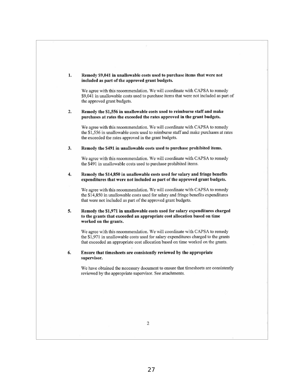#### 1. Remedy \$9,041 in unallowable costs used to purchase items tbat were not included as part of the approved grant budgets.

We agree with this recommendation. We will coordinate with CAPSA to remedy \$9.041 in unallowable costs used to purchase items that were not included as part of the approved grant budgets.

#### 2. Remedy the \$1,556 in unallowable costs used to reimburse staff and make purchases at rates the exceeded the rates approved in the grant budgets.

We agree with this recommendation. We will coordinate with CAPSA to remedy the \$1 ,556 in unallowable costs used to reimburse staff and make purchases at rates the exceeded the rates approved in the grant budgets.

3. Remedy the \$491 in unallowable costs used to purchase prohibited items.

We agree with this recommendation. We will coordinate with CAPSA to remedy the \$491 in unallowable costs used to purchase prohibited items.

#### 4. Remedy the \$14,850 in unallowable costs used for salary and fringe benefits expenditures that were not included as part of the approved grant budgets.

We agree with this recommendation. We will coordinate with CAPSA to remedy the \$14,850 in unallowable costs used for salary and fringe benefits expenditures that were not included as part of the approved grant budgets.

#### 5. Remedy the \$1,971 in unallowable costs used for salary expenditures charged to the grants that exceeded an appropriate cost allocation based on time worked on the grants.

We agree with this recommendation. We will coordinate with CAPSA to remedy the \$1,971 in unallowable costs used for salary expenditures charged to the grants that exceeded an appropriate cost allocation based on time worked on the grants.

#### 6. Ensure that timesheets arc consistently reviewed by the appropriate **supervisor.**

**We have obtained the necessary document to ensure that timesheets are consistently**  reviewed by the appropriate supervisor. See attachments.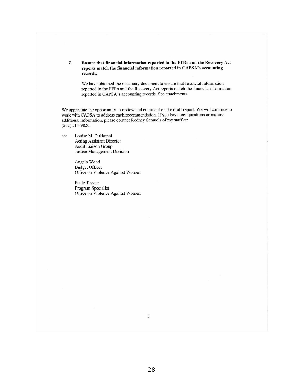#### 7. Ensure that financial information reported in the FFRs and the Recovery Act reports match the financial information reported in CAPSA's accounting **records.**

We have obtained the necessary document to ensure that financial information reported in the FFRs and the Recovery Act reports match the financial information reported in CAPSA's accounting records. See attachments.

We appreciate the opportunity to review and comment on the draft report. We will continue to work with CAPSA to address each recommendation. If you have any questions or require additional information, please contact Rodney Samuels of my staff at: (202) 514-9820.

cc: Louise M. DuHamel Acting Assistant Director Audit Liaison Group **Justice Management Division** 

> Angela Wood Budget Officer Office on Violence Against Women

> Paule Tessier Program Specialist Office on Violence Against Women

> > 3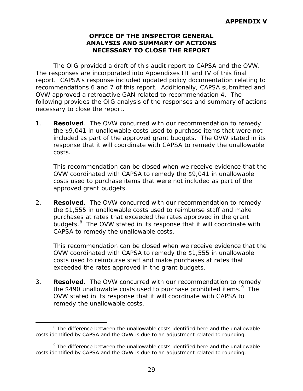### **OFFICE OF THE INSPECTOR GENERAL ANALYSIS AND SUMMARY OF ACTIONS NECESSARY TO CLOSE THE REPORT**

<span id="page-32-0"></span> The responses are incorporated into Appendixes III and IV of this final report. CAPSA's response included updated policy documentation relating to recommendations 6 and 7 of this report. Additionally, CAPSA submitted and OVW approved a retroactive GAN related to recommendation 4. The The OIG provided a draft of this audit report to CAPSA and the OVW. following provides the OIG analysis of the responses and summary of actions necessary to close the report.

1. **Resolved**. The OVW concurred with our recommendation to remedy the \$9,041 in unallowable costs used to purchase items that were not included as part of the approved grant budgets. The OVW stated in its response that it will coordinate with CAPSA to remedy the unallowable costs.

approved grant budgets. This recommendation can be closed when we receive evidence that the OVW coordinated with CAPSA to remedy the \$9,041 in unallowable costs used to purchase items that were not included as part of the

 purchases at rates that exceeded the rates approved in the grant budgets.<sup>[8](#page-32-1)</sup> The OVW stated in its response that it will coordinate with 2. **Resolved**. The OVW concurred with our recommendation to remedy the \$1,555 in unallowable costs used to reimburse staff and make CAPSA to remedy the unallowable costs.

 This recommendation can be closed when we receive evidence that the exceeded the rates approved in the grant budgets. OVW coordinated with CAPSA to remedy the \$1,555 in unallowable costs used to reimburse staff and make purchases at rates that

the \$490 unallowable costs used to purchase prohibited items.<sup>9</sup> The remedy the unallowable costs. 3. **Resolved**. The OVW concurred with our recommendation to remedy OVW stated in its response that it will coordinate with CAPSA to

l remedy the unallowable costs. 8 The difference between the unallowable costs identified here and the unallowable costs identified by CAPSA and the OVW is due to an adjustment related to rounding.

<span id="page-32-2"></span><span id="page-32-1"></span> $9$  The difference between the unallowable costs identified here and the unallowable costs identified by CAPSA and the OVW is due to an adjustment related to rounding.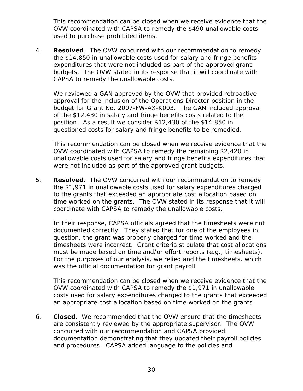This recommendation can be closed when we receive evidence that the OVW coordinated with CAPSA to remedy the \$490 unallowable costs used to purchase prohibited items.

 the \$14,850 in unallowable costs used for salary and fringe benefits budgets. The OVW stated in its response that it will coordinate with 4. **Resolved**. The OVW concurred with our recommendation to remedy expenditures that were not included as part of the approved grant CAPSA to remedy the unallowable costs.

 of the \$12,430 in salary and fringe benefits costs related to the We reviewed a GAN approved by the OVW that provided retroactive approval for the inclusion of the Operations Director position in the budget for Grant No. 2007-FW-AX-K003. The GAN included approval position. As a result we consider \$12,430 of the \$14,850 in questioned costs for salary and fringe benefits to be remedied.

 This recommendation can be closed when we receive evidence that the OVW coordinated with CAPSA to remedy the remaining \$2,420 in were not included as part of the approved grant budgets. unallowable costs used for salary and fringe benefits expenditures that

 the \$1,971 in unallowable costs used for salary expenditures charged 5. **Resolved**. The OVW concurred with our recommendation to remedy to the grants that exceeded an appropriate cost allocation based on time worked on the grants. The OVW stated in its response that it will coordinate with CAPSA to remedy the unallowable costs.

 timesheets were incorrect. Grant criteria stipulate that cost allocations In their response, CAPSA officials agreed that the timesheets were not documented correctly. They stated that for one of the employees in question, the grant was properly charged for time worked and the must be made based on time and/or effort reports (e.g., timesheets). For the purposes of our analysis, we relied and the timesheets, which was the official documentation for grant payroll.

 This recommendation can be closed when we receive evidence that the an appropriate cost allocation based on time worked on the grants. OVW coordinated with CAPSA to remedy the \$1,971 in unallowable costs used for salary expenditures charged to the grants that exceeded

 concurred with our recommendation and CAPSA provided and procedures. CAPSA added language to the policies and 6. **Closed**. We recommended that the OVW ensure that the timesheets are consistently reviewed by the appropriate supervisor. The OVW documentation demonstrating that they updated their payroll policies